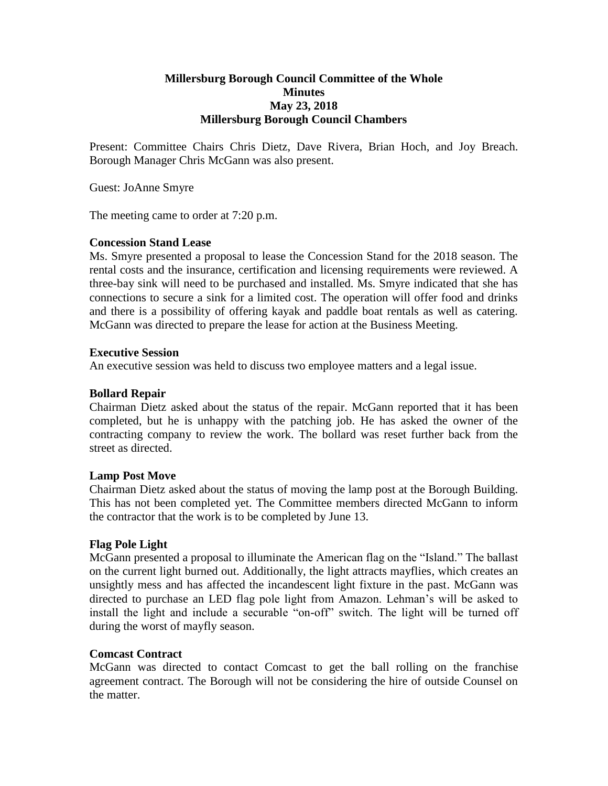# **Millersburg Borough Council Committee of the Whole Minutes May 23, 2018 Millersburg Borough Council Chambers**

Present: Committee Chairs Chris Dietz, Dave Rivera, Brian Hoch, and Joy Breach. Borough Manager Chris McGann was also present.

Guest: JoAnne Smyre

The meeting came to order at 7:20 p.m.

## **Concession Stand Lease**

Ms. Smyre presented a proposal to lease the Concession Stand for the 2018 season. The rental costs and the insurance, certification and licensing requirements were reviewed. A three-bay sink will need to be purchased and installed. Ms. Smyre indicated that she has connections to secure a sink for a limited cost. The operation will offer food and drinks and there is a possibility of offering kayak and paddle boat rentals as well as catering. McGann was directed to prepare the lease for action at the Business Meeting.

#### **Executive Session**

An executive session was held to discuss two employee matters and a legal issue.

#### **Bollard Repair**

Chairman Dietz asked about the status of the repair. McGann reported that it has been completed, but he is unhappy with the patching job. He has asked the owner of the contracting company to review the work. The bollard was reset further back from the street as directed.

#### **Lamp Post Move**

Chairman Dietz asked about the status of moving the lamp post at the Borough Building. This has not been completed yet. The Committee members directed McGann to inform the contractor that the work is to be completed by June 13.

## **Flag Pole Light**

McGann presented a proposal to illuminate the American flag on the "Island." The ballast on the current light burned out. Additionally, the light attracts mayflies, which creates an unsightly mess and has affected the incandescent light fixture in the past. McGann was directed to purchase an LED flag pole light from Amazon. Lehman's will be asked to install the light and include a securable "on-off" switch. The light will be turned off during the worst of mayfly season.

#### **Comcast Contract**

McGann was directed to contact Comcast to get the ball rolling on the franchise agreement contract. The Borough will not be considering the hire of outside Counsel on the matter.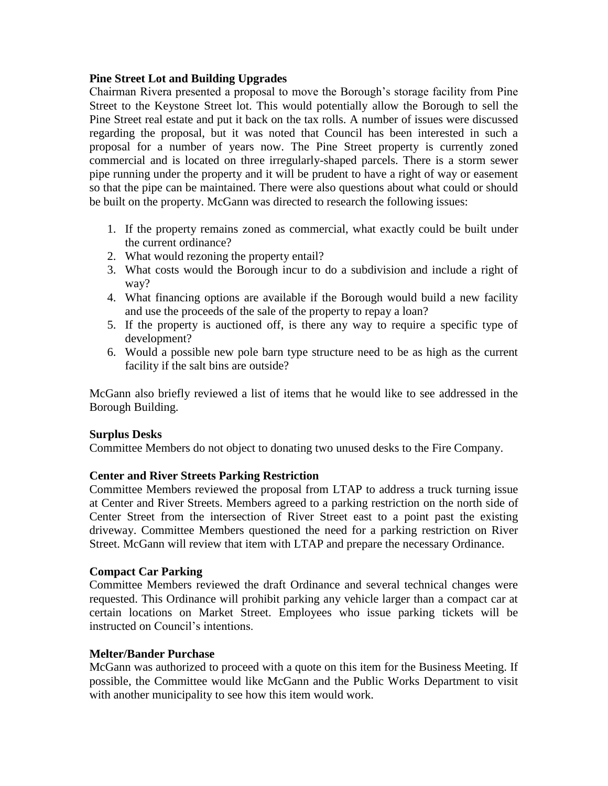## **Pine Street Lot and Building Upgrades**

Chairman Rivera presented a proposal to move the Borough's storage facility from Pine Street to the Keystone Street lot. This would potentially allow the Borough to sell the Pine Street real estate and put it back on the tax rolls. A number of issues were discussed regarding the proposal, but it was noted that Council has been interested in such a proposal for a number of years now. The Pine Street property is currently zoned commercial and is located on three irregularly-shaped parcels. There is a storm sewer pipe running under the property and it will be prudent to have a right of way or easement so that the pipe can be maintained. There were also questions about what could or should be built on the property. McGann was directed to research the following issues:

- 1. If the property remains zoned as commercial, what exactly could be built under the current ordinance?
- 2. What would rezoning the property entail?
- 3. What costs would the Borough incur to do a subdivision and include a right of way?
- 4. What financing options are available if the Borough would build a new facility and use the proceeds of the sale of the property to repay a loan?
- 5. If the property is auctioned off, is there any way to require a specific type of development?
- 6. Would a possible new pole barn type structure need to be as high as the current facility if the salt bins are outside?

McGann also briefly reviewed a list of items that he would like to see addressed in the Borough Building.

## **Surplus Desks**

Committee Members do not object to donating two unused desks to the Fire Company.

## **Center and River Streets Parking Restriction**

Committee Members reviewed the proposal from LTAP to address a truck turning issue at Center and River Streets. Members agreed to a parking restriction on the north side of Center Street from the intersection of River Street east to a point past the existing driveway. Committee Members questioned the need for a parking restriction on River Street. McGann will review that item with LTAP and prepare the necessary Ordinance.

## **Compact Car Parking**

Committee Members reviewed the draft Ordinance and several technical changes were requested. This Ordinance will prohibit parking any vehicle larger than a compact car at certain locations on Market Street. Employees who issue parking tickets will be instructed on Council's intentions.

## **Melter/Bander Purchase**

McGann was authorized to proceed with a quote on this item for the Business Meeting. If possible, the Committee would like McGann and the Public Works Department to visit with another municipality to see how this item would work.